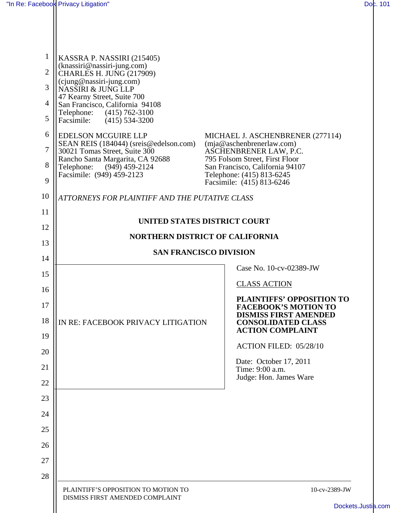$\mathsf{l}\mathsf{l}$ 

| 1              | KASSRA P. NASSIRI (215405)                                                                 |  |                                                                                                |  |
|----------------|--------------------------------------------------------------------------------------------|--|------------------------------------------------------------------------------------------------|--|
| $\overline{2}$ | (knassiri@nassiri-jung.com)<br>CHARLES H. JUŇG (217909)                                    |  |                                                                                                |  |
| 3              | (cjung@nassiri-jung.com)<br>NASSIRI & JUNG LLP                                             |  |                                                                                                |  |
| $\overline{4}$ | 47 Kearny Street, Suite 700<br>San Francisco, California 94108                             |  |                                                                                                |  |
| 5              | Telephone: (415) 762-3100<br>Facsimile:<br>$(415)$ 534-3200                                |  |                                                                                                |  |
| 6              | <b>EDELSON MCGUIRE LLP</b>                                                                 |  | MICHAEL J. ASCHENBRENER (277114)                                                               |  |
| $\overline{7}$ | SEAN REIS (184044) (sreis@edelson.com)<br>30021 Tomas Street, Suite 300                    |  | (mja@aschenbrenerlaw.com)<br>ASCHENBRENER LAW, P.C.                                            |  |
| 8              | Rancho Santa Margarita, CA 92688<br>Telephone: (949) 459-2124<br>Facsimile: (949) 459-2123 |  | 795 Folsom Street, First Floor<br>San Francisco, California 94107<br>Telephone: (415) 813-6245 |  |
| 9              |                                                                                            |  | Facsimile: (415) 813-6246                                                                      |  |
| 10             | ATTORNEYS FOR PLAINTIFF AND THE PUTATIVE CLASS                                             |  |                                                                                                |  |
| 11             | UNITED STATES DISTRICT COURT                                                               |  |                                                                                                |  |
| 12             | <b>NORTHERN DISTRICT OF CALIFORNIA</b>                                                     |  |                                                                                                |  |
| 13             | <b>SAN FRANCISCO DIVISION</b>                                                              |  |                                                                                                |  |
| 14             |                                                                                            |  | Case No. 10-cv-02389-JW                                                                        |  |
| 15             |                                                                                            |  | <b>CLASS ACTION</b>                                                                            |  |
| 16             |                                                                                            |  | <b>PLAINTIFFS' OPPOSITION TO</b>                                                               |  |
| 17<br>18       |                                                                                            |  | <b>FACEBOOK'S MOTION TO</b><br><b>DISMISS FIRST AMENDED</b>                                    |  |
| 19             | IN RE: FACEBOOK PRIVACY LITIGATION                                                         |  | <b>CONSOLIDATED CLASS</b><br><b>ACTION COMPLAINT</b>                                           |  |
| 20             |                                                                                            |  | ACTION FILED: 05/28/10                                                                         |  |
| 21             |                                                                                            |  | Date: October 17, 2011                                                                         |  |
| 22             |                                                                                            |  | Time: 9:00 a.m.<br>Judge: Hon. James Ware                                                      |  |
| 23             |                                                                                            |  |                                                                                                |  |
| 24             |                                                                                            |  |                                                                                                |  |
| 25             |                                                                                            |  |                                                                                                |  |
| 26             |                                                                                            |  |                                                                                                |  |
| 27             |                                                                                            |  |                                                                                                |  |
| 28             |                                                                                            |  |                                                                                                |  |
|                | PLAINTIFF'S OPPOSITION TO MOTION TO<br>DISMISS FIRST AMENDED COMPLAINT                     |  | 10-cv-2389-JW                                                                                  |  |
|                |                                                                                            |  | Dockets.                                                                                       |  |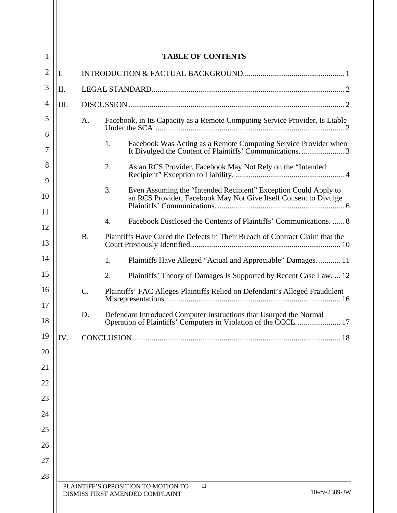| $\mathbf{1}$   |                | <b>TABLE OF CONTENTS</b> |                                                                                                                                           |  |  |
|----------------|----------------|--------------------------|-------------------------------------------------------------------------------------------------------------------------------------------|--|--|
| $\overline{2}$ | $\mathbf{I}$ . |                          |                                                                                                                                           |  |  |
| 3              | II.            |                          |                                                                                                                                           |  |  |
| 4              | III.           |                          |                                                                                                                                           |  |  |
| 5<br>6         |                | A.                       | Facebook, in Its Capacity as a Remote Computing Service Provider, Is Liable                                                               |  |  |
| 7              |                |                          | 1.<br>Facebook Was Acting as a Remote Computing Service Provider when<br>It Divulged the Content of Plaintiffs' Communications 3          |  |  |
| 8              |                |                          | 2.<br>As an RCS Provider, Facebook May Not Rely on the "Intended                                                                          |  |  |
| 9<br>10        |                |                          | 3.<br>Even Assuming the "Intended Recipient" Exception Could Apply to<br>an RCS Provider, Facebook May Not Give Itself Consent to Divulge |  |  |
| 11             |                |                          | Facebook Disclosed the Contents of Plaintiffs' Communications.  8<br>4.                                                                   |  |  |
| 12<br>13       |                | <b>B.</b>                | Plaintiffs Have Cured the Defects in Their Breach of Contract Claim that the                                                              |  |  |
| 14             |                |                          | 1.<br>Plaintiffs Have Alleged "Actual and Appreciable" Damages.  11                                                                       |  |  |
| 15             |                |                          | 2.<br>Plaintiffs' Theory of Damages Is Supported by Recent Case Law.  12                                                                  |  |  |
| 16             |                | $\mathcal{C}$ .          | Plaintiffs' FAC Alleges Plaintiffs Relied on Defendant's Alleged Fraudulent                                                               |  |  |
| 17<br>18       |                | D.                       | Defendant Introduced Computer Instructions that Usurped the Normal<br>Operation of Plaintiffs' Computers in Violation of the CCCL 17      |  |  |
| 19             | IV.            |                          |                                                                                                                                           |  |  |
| 20             |                |                          |                                                                                                                                           |  |  |
| 21             |                |                          |                                                                                                                                           |  |  |
| 22             |                |                          |                                                                                                                                           |  |  |
| 23             |                |                          |                                                                                                                                           |  |  |
| 24             |                |                          |                                                                                                                                           |  |  |
| 25             |                |                          |                                                                                                                                           |  |  |
| 26             |                |                          |                                                                                                                                           |  |  |
| 27             |                |                          |                                                                                                                                           |  |  |
| 28             |                |                          | $\overline{ii}$<br>PLAINTIFF'S OPPOSITION TO MOTION TO                                                                                    |  |  |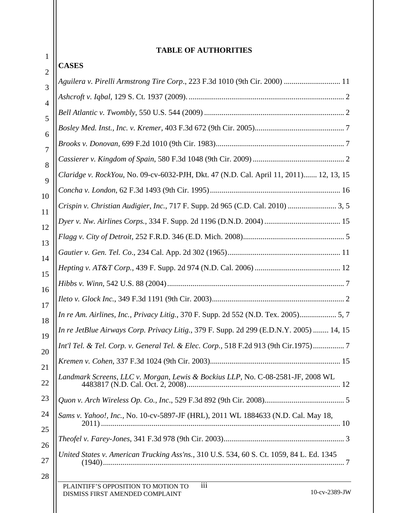## **TABLE OF AUTHORITIES**

| ль ог летномтные                                                                         |
|------------------------------------------------------------------------------------------|
| <b>CASES</b>                                                                             |
| Aguilera v. Pirelli Armstrong Tire Corp., 223 F.3d 1010 (9th Cir. 2000)  11              |
|                                                                                          |
|                                                                                          |
|                                                                                          |
|                                                                                          |
|                                                                                          |
| Claridge v. RockYou, No. 09-cv-6032-PJH, Dkt. 47 (N.D. Cal. April 11, 2011) 12, 13, 15   |
|                                                                                          |
| Crispin v. Christian Audigier, Inc., 717 F. Supp. 2d 965 (C.D. Cal. 2010)  3, 5          |
|                                                                                          |
|                                                                                          |
|                                                                                          |
|                                                                                          |
|                                                                                          |
|                                                                                          |
| In re Am. Airlines, Inc., Privacy Litig., 370 F. Supp. 2d 552 (N.D. Tex. 2005) 5, 7      |
| In re JetBlue Airways Corp. Privacy Litig., 379 F. Supp. 2d 299 (E.D.N.Y. 2005)  14, 15  |
| Int'l Tel. & Tel. Corp. v. General Tel. & Elec. Corp., 518 F.2d 913 (9th Cir.1975)7      |
|                                                                                          |
| Landmark Screens, LLC v. Morgan, Lewis & Bockius LLP, No. C-08-2581-JF, 2008 WL          |
|                                                                                          |
| Sams v. Yahoo!, Inc., No. 10-cv-5897-JF (HRL), 2011 WL 1884633 (N.D. Cal. May 18,        |
|                                                                                          |
| United States v. American Trucking Ass'ns., 310 U.S. 534, 60 S. Ct. 1059, 84 L. Ed. 1345 |
| $\overline{iii}$<br>PLAINTIFF'S OPPOSITION TO MOTION TO                                  |
| 10-cv-2389-JW<br>DISMISS FIRST AMENDED COMPLAINT                                         |

I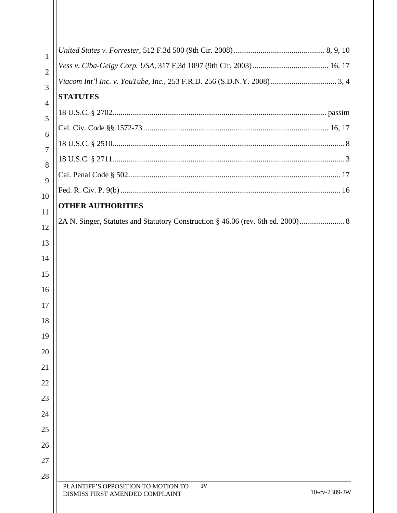| 1              |                                                                                               |  |  |
|----------------|-----------------------------------------------------------------------------------------------|--|--|
| $\overline{2}$ |                                                                                               |  |  |
| 3              |                                                                                               |  |  |
| $\overline{4}$ | <b>STATUTES</b>                                                                               |  |  |
| 5              |                                                                                               |  |  |
| 6              |                                                                                               |  |  |
| 7              |                                                                                               |  |  |
| 8              |                                                                                               |  |  |
| 9              |                                                                                               |  |  |
| 10             |                                                                                               |  |  |
| 11             | <b>OTHER AUTHORITIES</b>                                                                      |  |  |
| 12             | 2A N. Singer, Statutes and Statutory Construction § 46.06 (rev. 6th ed. 2000) 8               |  |  |
| 13             |                                                                                               |  |  |
| 14             |                                                                                               |  |  |
| 15             |                                                                                               |  |  |
| 16             |                                                                                               |  |  |
| 17             |                                                                                               |  |  |
| 18             |                                                                                               |  |  |
| 19             |                                                                                               |  |  |
| 20             |                                                                                               |  |  |
| 21             |                                                                                               |  |  |
| 22             |                                                                                               |  |  |
| 23             |                                                                                               |  |  |
| 24             |                                                                                               |  |  |
| 25             |                                                                                               |  |  |
| 26             |                                                                                               |  |  |
| 27             |                                                                                               |  |  |
| 28             |                                                                                               |  |  |
|                | iv<br>PLAINTIFF'S OPPOSITION TO MOTION TO<br>10-cv-2389-JW<br>DISMISS FIRST AMENDED COMPLAINT |  |  |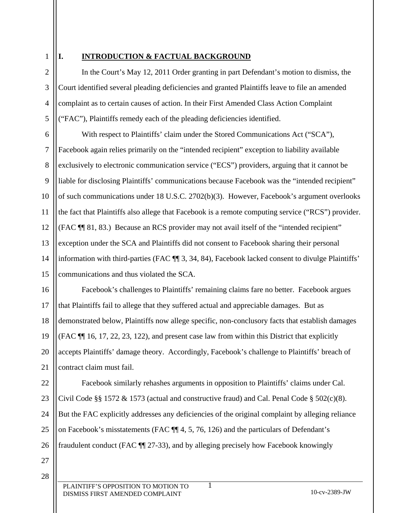3

4

5

# **I. INTRODUCTION & FACTUAL BACKGROUND**

In the Court's May 12, 2011 Order granting in part Defendant's motion to dismiss, the Court identified several pleading deficiencies and granted Plaintiffs leave to file an amended complaint as to certain causes of action. In their First Amended Class Action Complaint ("FAC"), Plaintiffs remedy each of the pleading deficiencies identified.

6 7 8 9 10 11 12 13 14 15 With respect to Plaintiffs' claim under the Stored Communications Act ("SCA"), Facebook again relies primarily on the "intended recipient" exception to liability available exclusively to electronic communication service ("ECS") providers, arguing that it cannot be liable for disclosing Plaintiffs' communications because Facebook was the "intended recipient" of such communications under 18 U.S.C. 2702(b)(3). However, Facebook's argument overlooks the fact that Plaintiffs also allege that Facebook is a remote computing service ("RCS") provider. (FAC ¶¶ 81, 83.) Because an RCS provider may not avail itself of the "intended recipient" exception under the SCA and Plaintiffs did not consent to Facebook sharing their personal information with third-parties (FAC ¶¶ 3, 34, 84), Facebook lacked consent to divulge Plaintiffs' communications and thus violated the SCA.

16 17 18 19 20 21 Facebook's challenges to Plaintiffs' remaining claims fare no better. Facebook argues that Plaintiffs fail to allege that they suffered actual and appreciable damages. But as demonstrated below, Plaintiffs now allege specific, non-conclusory facts that establish damages (FAC ¶¶ 16, 17, 22, 23, 122), and present case law from within this District that explicitly accepts Plaintiffs' damage theory. Accordingly, Facebook's challenge to Plaintiffs' breach of contract claim must fail.

22 23 24 25 26 Facebook similarly rehashes arguments in opposition to Plaintiffs' claims under Cal. Civil Code  $\S$ § 1572 & 1573 (actual and constructive fraud) and Cal. Penal Code § 502(c)(8). But the FAC explicitly addresses any deficiencies of the original complaint by alleging reliance on Facebook's misstatements (FAC ¶¶ 4, 5, 76, 126) and the particulars of Defendant's fraudulent conduct (FAC ¶¶ 27-33), and by alleging precisely how Facebook knowingly

1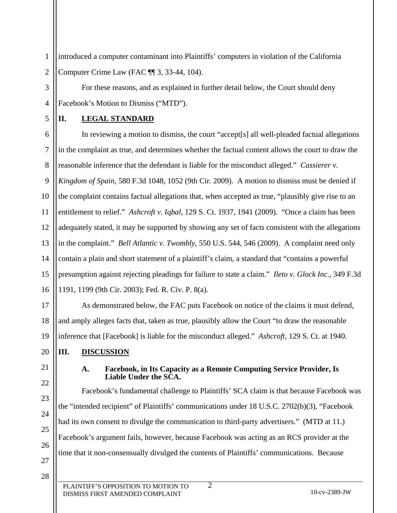introduced a computer contaminant into Plaintiffs' computers in violation of the California Computer Crime Law (FAC ¶¶ 3, 33-44, 104).

For these reasons, and as explained in further detail below, the Court should deny Facebook's Motion to Dismiss ("MTD").

5

1

2

3

4

# **II. LEGAL STANDARD**

6 7 8 9 10 11 12 13 14 15 16 In reviewing a motion to dismiss, the court "accept[s] all well-pleaded factual allegations in the complaint as true, and determines whether the factual content allows the court to draw the reasonable inference that the defendant is liable for the misconduct alleged." *Cassierer v. Kingdom of Spain*, 580 F.3d 1048, 1052 (9th Cir. 2009). A motion to dismiss must be denied if the complaint contains factual allegations that, when accepted as true, "plausibly give rise to an entitlement to relief." *Ashcroft v. Iqbal*, 129 S. Ct. 1937, 1941 (2009). "Once a claim has been adequately stated, it may be supported by showing any set of facts consistent with the allegations in the complaint." *Bell Atlantic v. Twombly*, 550 U.S. 544, 546 (2009). A complaint need only contain a plain and short statement of a plaintiff's claim, a standard that "contains a powerful presumption against rejecting pleadings for failure to state a claim." *Ileto v. Glock Inc.*, 349 F.3d 1191, 1199 (9th Cir. 2003); Fed. R. Civ. P. 8(a).

17 18 19 As demonstrated below, the FAC puts Facebook on notice of the claims it must defend, and amply alleges facts that, taken as true, plausibly allow the Court "to draw the reasonable inference that [Facebook] is liable for the misconduct alleged." *Ashcroft*, 129 S. Ct. at 1940.

# **III. DISCUSSION**

21

22

23

24

25

26

20

### **A. Facebook, in Its Capacity as a Remote Computing Service Provider, Is Liable Under the SCA.**

Facebook's fundamental challenge to Plaintiffs' SCA claim is that because Facebook was the "intended recipient" of Plaintiffs' communications under 18 U.S.C. 2702(b)(3), "Facebook had its own consent to divulge the communication to third-party advertisers." (MTD at 11.) Facebook's argument fails, however, because Facebook was acting as an RCS provider at the time that it non-consensually divulged the contents of Plaintiffs' communications. Because

2

28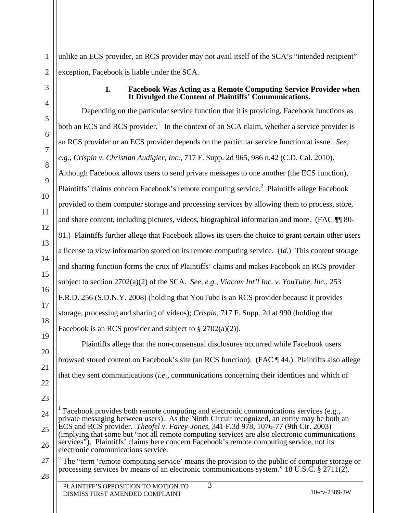unlike an ECS provider, an RCS provider may not avail itself of the SCA's "intended recipient" exception, Facebook is liable under the SCA.

1

2

3

4

5

6

7

8

9

10

11

12

13

14

15

16

17

18

19

20

21

### **1. Facebook Was Acting as a Remote Computing Service Provider when It Divulged the Content of Plaintiffs' Communications.**

Depending on the particular service function that it is providing, Facebook functions as both an ECS and RCS provider.<sup>1</sup> In the context of an SCA claim, whether a service provider is an RCS provider or an ECS provider depends on the particular service function at issue. *See, e.g., Crispin v. Christian Audigier, Inc.*, 717 F. Supp. 2d 965, 986 n.42 (C.D. Cal. 2010). Although Facebook allows users to send private messages to one another (the ECS function), Plaintiffs' claims concern Facebook's remote computing service.<sup>2</sup> Plaintiffs allege Facebook provided to them computer storage and processing services by allowing them to process, store, and share content, including pictures, videos, biographical information and more. (FAC ¶¶ 80- 81.) Plaintiffs further allege that Facebook allows its users the choice to grant certain other users a license to view information stored on its remote computing service. (*Id*.) This content storage and sharing function forms the crux of Plaintiffs' claims and makes Facebook an RCS provider subject to section 2702(a)(2) of the SCA. *See, e.g., Viacom Int'l Inc. v. YouTube, Inc.*, 253 F.R.D. 256 (S.D.N.Y. 2008) (holding that YouTube is an RCS provider because it provides storage, processing and sharing of videos); *Crispin*, 717 F. Supp. 2d at 990 (holding that Facebook is an RCS provider and subject to  $\S 2702(a)(2)$ .

Plaintiffs allege that the non-consensual disclosures occurred while Facebook users browsed stored content on Facebook's site (an RCS function). (FAC ¶ 44.) Plaintiffs also allege that they sent communications (*i.e.*, communications concerning their identities and which of

- 22 23
- 

 $\overline{a}$ 

3

<sup>24</sup> 25 26 1 Facebook provides both remote computing and electronic communications services (e.g., private messaging between users). As the Ninth Circuit recognized, an entity may be both an ECS and RCS provider. *Theofel v. Farey-Jones*, 341 F.3d 978, 1076-77 (9th Cir. 2003) (implying that some but "not all remote computing services are also electronic communications services"). Plaintiffs' claims here concern Facebook's remote computing service, not its electronic communications service.

<sup>27</sup>  $2$  The "term 'remote computing service' means the provision to the public of computer storage or processing services by means of an electronic communications system." 18 U.S.C. § 2711(2).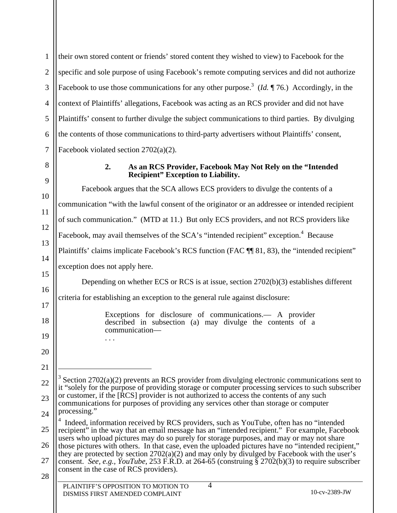1 2 3 4 5 6 7 their own stored content or friends' stored content they wished to view) to Facebook for the specific and sole purpose of using Facebook's remote computing services and did not authorize Facebook to use those communications for any other purpose.<sup>3</sup> (*Id.* 176.) Accordingly, in the context of Plaintiffs' allegations, Facebook was acting as an RCS provider and did not have Plaintiffs' consent to further divulge the subject communications to third parties. By divulging the contents of those communications to third-party advertisers without Plaintiffs' consent, Facebook violated section 2702(a)(2).

8 9

#### **2. As an RCS Provider, Facebook May Not Rely on the "Intended Recipient" Exception to Liability.**

10 11 12 13 14 15 16 17 Facebook argues that the SCA allows ECS providers to divulge the contents of a communication "with the lawful consent of the originator or an addressee or intended recipient of such communication." (MTD at 11.) But only ECS providers, and not RCS providers like Facebook, may avail themselves of the SCA's "intended recipient" exception.<sup>4</sup> Because Plaintiffs' claims implicate Facebook's RCS function (FAC ¶¶ 81, 83), the "intended recipient" exception does not apply here. Depending on whether ECS or RCS is at issue, section 2702(b)(3) establishes different criteria for establishing an exception to the general rule against disclosure:

Exceptions for disclosure of communications.— A provider described in subsection (a) may divulge the contents of a communication— . . .

4

28

18

19

20

21

 $\overline{a}$ 

<sup>22</sup> 23 24  $3$  Section 2702(a)(2) prevents an RCS provider from divulging electronic communications sent to it "solely for the purpose of providing storage or computer processing services to such subscriber or customer, if the [RCS] provider is not authorized to access the contents of any such communications for purposes of providing any services other than storage or computer processing."

<sup>25</sup> 26 27 4 Indeed, information received by RCS providers, such as YouTube, often has no "intended recipient" in the way that an email message has an "intended recipient." For example, Facebook users who upload pictures may do so purely for storage purposes, and may or may not share those pictures with others. In that case, even the uploaded pictures have no "intended recipient," they are protected by section  $2702(a)(2)$  and may only by divulged by Facebook with the user's consent. *See, e.g., YouTube*, 253 F.R.D. at 264-65 (construing § 2702(b)(3) to require subscriber consent in the case of RCS providers).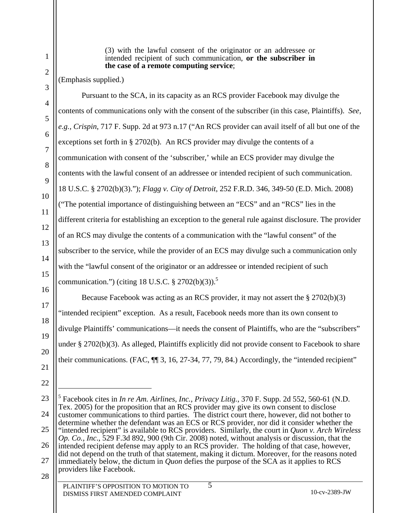(3) with the lawful consent of the originator or an addressee or intended recipient of such communication, **or the subscriber in the case of a remote computing service**;

(Emphasis supplied.)

1

2

3

4

5

6

7

8

9

10

11

12

13

14

15

16

17

18

19

20

21

22

Pursuant to the SCA, in its capacity as an RCS provider Facebook may divulge the contents of communications only with the consent of the subscriber (in this case, Plaintiffs). *See, e.g., Crispin*, 717 F. Supp. 2d at 973 n.17 ("An RCS provider can avail itself of all but one of the exceptions set forth in § 2702(b). An RCS provider may divulge the contents of a communication with consent of the 'subscriber,' while an ECS provider may divulge the contents with the lawful consent of an addressee or intended recipient of such communication. 18 U.S.C. § 2702(b)(3)."); *Flagg v. City of Detroit*, 252 F.R.D. 346, 349-50 (E.D. Mich. 2008) ("The potential importance of distinguishing between an "ECS" and an "RCS" lies in the different criteria for establishing an exception to the general rule against disclosure. The provider of an RCS may divulge the contents of a communication with the "lawful consent" of the subscriber to the service, while the provider of an ECS may divulge such a communication only with the "lawful consent of the originator or an addressee or intended recipient of such communication.") (citing 18 U.S.C.  $\S 2702(b)(3)$ ).<sup>5</sup> Because Facebook was acting as an RCS provider, it may not assert the § 2702(b)(3)

"intended recipient" exception. As a result, Facebook needs more than its own consent to divulge Plaintiffs' communications—it needs the consent of Plaintiffs, who are the "subscribers" under § 2702(b)(3). As alleged, Plaintiffs explicitly did not provide consent to Facebook to share their communications. (FAC, ¶¶ 3, 16, 27-34, 77, 79, 84.) Accordingly, the "intended recipient"

<sup>5</sup> 23 24 25 26 27 28  $\overline{a}$ 5 Facebook cites in *In re Am. Airlines, Inc., Privacy Litig.*, 370 F. Supp. 2d 552, 560-61 (N.D. Tex. 2005) for the proposition that an RCS provider may give its own consent to disclose customer communications to third parties. The district court there, however, did not bother to determine whether the defendant was an ECS or RCS provider, nor did it consider whether the "intended recipient" is available to RCS providers. Similarly, the court in *Quon v. Arch Wireless Op. Co., Inc*., 529 F.3d 892, 900 (9th Cir. 2008) noted, without analysis or discussion, that the intended recipient defense may apply to an RCS provider. The holding of that case, however, did not depend on the truth of that statement, making it dictum. Moreover, for the reasons noted immediately below, the dictum in *Quon* defies the purpose of the SCA as it applies to RCS providers like Facebook.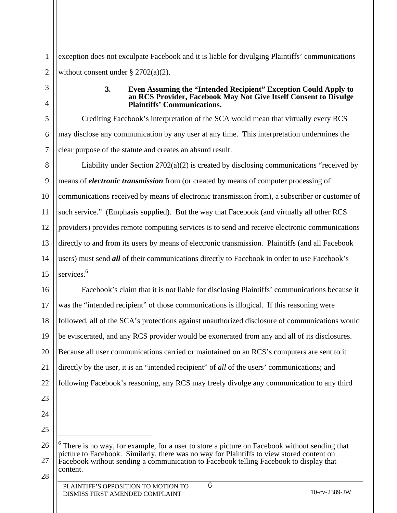exception does not exculpate Facebook and it is liable for divulging Plaintiffs' communications without consent under  $\S 2702(a)(2)$ .

#### **3. Even Assuming the "Intended Recipient" Exception Could Apply to an RCS Provider, Facebook May Not Give Itself Consent to Divulge Plaintiffs' Communications.**

Crediting Facebook's interpretation of the SCA would mean that virtually every RCS may disclose any communication by any user at any time. This interpretation undermines the clear purpose of the statute and creates an absurd result.

8 9 10 11 12 13 14 15 Liability under Section 2702(a)(2) is created by disclosing communications "received by means of *electronic transmission* from (or created by means of computer processing of communications received by means of electronic transmission from), a subscriber or customer of such service." (Emphasis supplied). But the way that Facebook (and virtually all other RCS providers) provides remote computing services is to send and receive electronic communications directly to and from its users by means of electronic transmission. Plaintiffs (and all Facebook users) must send *all* of their communications directly to Facebook in order to use Facebook's services.<sup>6</sup>

16 17 18 19 20 21 22 Facebook's claim that it is not liable for disclosing Plaintiffs' communications because it was the "intended recipient" of those communications is illogical. If this reasoning were followed, all of the SCA's protections against unauthorized disclosure of communications would be eviscerated, and any RCS provider would be exonerated from any and all of its disclosures. Because all user communications carried or maintained on an RCS's computers are sent to it directly by the user, it is an "intended recipient" of *all* of the users' communications; and following Facebook's reasoning, any RCS may freely divulge any communication to any third

- 23
- 24 25

<u>.</u>

<sup>26</sup> 27 28  $6$  There is no way, for example, for a user to store a picture on Facebook without sending that picture to Facebook. Similarly, there was no way for Plaintiffs to view stored content on Facebook without sending a communication to Facebook telling Facebook to display that content.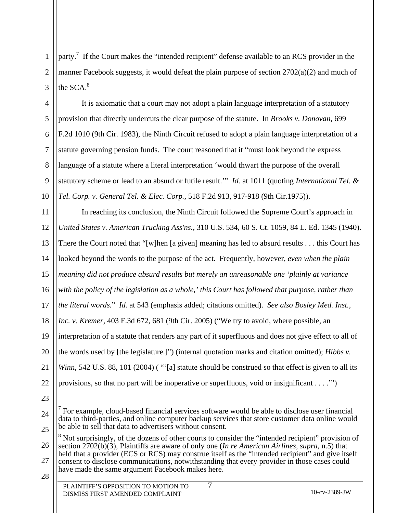1 2 3 party.<sup>7</sup> If the Court makes the "intended recipient" defense available to an RCS provider in the manner Facebook suggests, it would defeat the plain purpose of section  $2702(a)(2)$  and much of the  $SCA.<sup>8</sup>$ 

4 5 6 7 8 9 10 It is axiomatic that a court may not adopt a plain language interpretation of a statutory provision that directly undercuts the clear purpose of the statute. In *Brooks v. Donovan,* 699 F.2d 1010 (9th Cir. 1983), the Ninth Circuit refused to adopt a plain language interpretation of a statute governing pension funds. The court reasoned that it "must look beyond the express language of a statute where a literal interpretation 'would thwart the purpose of the overall statutory scheme or lead to an absurd or futile result.'" *Id.* at 1011 (quoting *International Tel. & Tel. Corp. v. General Tel. & Elec. Corp.,* 518 F.2d 913, 917-918 (9th Cir.1975)).

11 12 13 14 15 16 17 18 19 20 21 22 In reaching its conclusion, the Ninth Circuit followed the Supreme Court's approach in *United States v. American Trucking Ass'ns.,* 310 U.S. 534, 60 S. Ct. 1059, 84 L. Ed. 1345 (1940). There the Court noted that "[w]hen [a given] meaning has led to absurd results . . . this Court has looked beyond the words to the purpose of the act. Frequently, however, *even when the plain meaning did not produce absurd results but merely an unreasonable one 'plainly at variance with the policy of the legislation as a whole,' this Court has followed that purpose, rather than the literal words.*" *Id.* at 543 (emphasis added; citations omitted). *See also Bosley Med. Inst., Inc. v. Kremer,* 403 F.3d 672, 681 (9th Cir. 2005) ("We try to avoid, where possible, an interpretation of a statute that renders any part of it superfluous and does not give effect to all of the words used by [the legislature.]") (internal quotation marks and citation omitted); *Hibbs v. Winn*, 542 U.S. 88, 101 (2004) ( "'[a] statute should be construed so that effect is given to all its provisions, so that no part will be inoperative or superfluous, void or insignificant  $\dots$ ...")

<u>.</u>

26 27 28 <sup>8</sup> Not surprisingly, of the dozens of other courts to consider the "intended recipient" provision of section 2702(b)(3), Plaintiffs are aware of only one (*In re American Airlines*, *supra*, n.5) that held that a provider (ECS or RCS) may construe itself as the "intended recipient" and give itself consent to disclose communications, notwithstanding that every provider in those cases could have made the same argument Facebook makes here.

<sup>23</sup>

<sup>24</sup> 25  $7$  For example, cloud-based financial services software would be able to disclose user financial data to third-parties, and online computer backup services that store customer data online would be able to sell that data to advertisers without consent.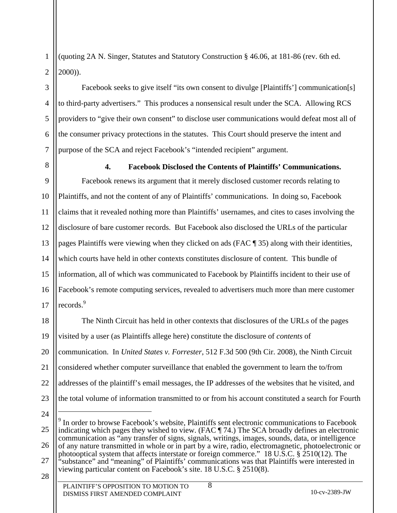(quoting 2A N. Singer, Statutes and Statutory Construction § 46.06, at 181-86 (rev. 6th ed. 2000)).

Facebook seeks to give itself "its own consent to divulge [Plaintiffs'] communication[s] to third-party advertisers." This produces a nonsensical result under the SCA. Allowing RCS providers to "give their own consent" to disclose user communications would defeat most all of the consumer privacy protections in the statutes. This Court should preserve the intent and purpose of the SCA and reject Facebook's "intended recipient" argument.

8

1

2

3

4

5

6

7

**4. Facebook Disclosed the Contents of Plaintiffs' Communications.** 

9 10 11 12 13 14 15 16 17 Facebook renews its argument that it merely disclosed customer records relating to Plaintiffs, and not the content of any of Plaintiffs' communications. In doing so, Facebook claims that it revealed nothing more than Plaintiffs' usernames, and cites to cases involving the disclosure of bare customer records. But Facebook also disclosed the URLs of the particular pages Plaintiffs were viewing when they clicked on ads (FAC ¶ 35) along with their identities, which courts have held in other contexts constitutes disclosure of content. This bundle of information, all of which was communicated to Facebook by Plaintiffs incident to their use of Facebook's remote computing services, revealed to advertisers much more than mere customer records.<sup>9</sup>

18 19 20 21 22 23 The Ninth Circuit has held in other contexts that disclosures of the URLs of the pages visited by a user (as Plaintiffs allege here) constitute the disclosure of *contents* of communication. In *United States v. Forrester*, 512 F.3d 500 (9th Cir. 2008), the Ninth Circuit considered whether computer surveillance that enabled the government to learn the to/from addresses of the plaintiff's email messages, the IP addresses of the websites that he visited, and the total volume of information transmitted to or from his account constituted a search for Fourth

24

<u>.</u>

25 26 27 28 <sup>9</sup> In order to browse Facebook's website, Plaintiffs sent electronic communications to Facebook indicating which pages they wished to view. (FAC ¶ 74.) The SCA broadly defines an electronic communication as "any transfer of signs, signals, writings, images, sounds, data, or intelligence of any nature transmitted in whole or in part by a wire, radio, electromagnetic, photoelectronic or photooptical system that affects interstate or foreign commerce." 18 U.S.C. § 2510(12). The "substance" and "meaning" of Plaintiffs' communications was that Plaintiffs were interested in viewing particular content on Facebook's site. 18 U.S.C. § 2510(8).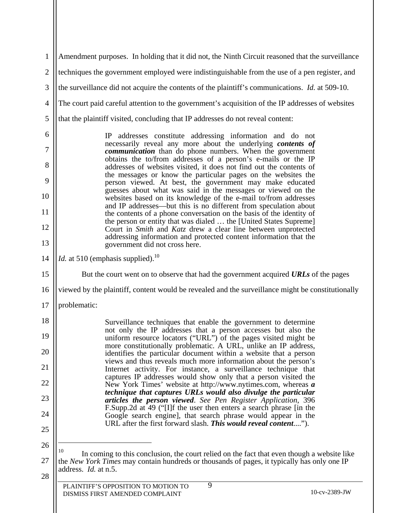9 1 2 3 4 5 6 7 8 9 10 11 12 13 14 15 16 17 18 19 20 21 22 23 24 25 26 27 28 Amendment purposes. In holding that it did not, the Ninth Circuit reasoned that the surveillance techniques the government employed were indistinguishable from the use of a pen register, and the surveillance did not acquire the contents of the plaintiff's communications. *Id.* at 509-10. The court paid careful attention to the government's acquisition of the IP addresses of websites that the plaintiff visited, concluding that IP addresses do not reveal content: IP addresses constitute addressing information and do not necessarily reveal any more about the underlying *contents of communication* than do phone numbers. When the government obtains the to/from addresses of a person's e-mails or the IP addresses of websites visited, it does not find out the contents of the messages or know the particular pages on the websites the person viewed. At best, the government may make educated guesses about what was said in the messages or viewed on the websites based on its knowledge of the e-mail to/from addresses and IP addresses—but this is no different from speculation about the contents of a phone conversation on the basis of the identity of the person or entity that was dialed … the [United States Supreme] Court in *Smith* and *Katz* drew a clear line between unprotected addressing information and protected content information that the government did not cross here. *Id.* at 510 (emphasis supplied).<sup>10</sup> But the court went on to observe that had the government acquired *URLs* of the pages viewed by the plaintiff, content would be revealed and the surveillance might be constitutionally problematic: Surveillance techniques that enable the government to determine not only the IP addresses that a person accesses but also the uniform resource locators ("URL") of the pages visited might be more constitutionally problematic. A URL, unlike an IP address, identifies the particular document within a website that a person views and thus reveals much more information about the person's Internet activity. For instance, a surveillance technique that captures IP addresses would show only that a person visited the New York Times' website at http://www.nytimes.com, whereas *a technique that captures URLs would also divulge the particular articles the person viewed*. *See Pen Register Application*, 396 F.Supp.2d at 49 ("[I]f the user then enters a search phrase [in the Google search engine], that search phrase would appear in the URL after the first forward slash. *This would reveal content*....").  $\overline{a}$ <sup>10</sup> In coming to this conclusion, the court relied on the fact that even though a website like the *New York Times* may contain hundreds or thousands of pages, it typically has only one IP address. *Id.* at n.5.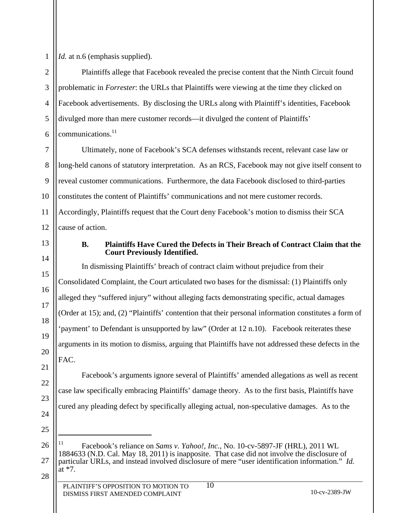1

*Id.* at n.6 (emphasis supplied).

5 6 Plaintiffs allege that Facebook revealed the precise content that the Ninth Circuit found problematic in *Forrester*: the URLs that Plaintiffs were viewing at the time they clicked on Facebook advertisements. By disclosing the URLs along with Plaintiff's identities, Facebook divulged more than mere customer records—it divulged the content of Plaintiffs' communications.<sup>11</sup>

7 8 9 10 11 12 Ultimately, none of Facebook's SCA defenses withstands recent, relevant case law or long-held canons of statutory interpretation. As an RCS, Facebook may not give itself consent to reveal customer communications. Furthermore, the data Facebook disclosed to third-parties constitutes the content of Plaintiffs' communications and not mere customer records. Accordingly, Plaintiffs request that the Court deny Facebook's motion to dismiss their SCA cause of action.

13

14

15

16

17

18

19

20

21

22

23

24

25

<u>.</u>

#### **B. Plaintiffs Have Cured the Defects in Their Breach of Contract Claim that the Court Previously Identified.**

In dismissing Plaintiffs' breach of contract claim without prejudice from their Consolidated Complaint, the Court articulated two bases for the dismissal: (1) Plaintiffs only alleged they "suffered injury" without alleging facts demonstrating specific, actual damages (Order at 15); and, (2) "Plaintiffs' contention that their personal information constitutes a form of 'payment' to Defendant is unsupported by law" (Order at 12 n.10). Facebook reiterates these arguments in its motion to dismiss, arguing that Plaintiffs have not addressed these defects in the FAC.

Facebook's arguments ignore several of Plaintiffs' amended allegations as well as recent case law specifically embracing Plaintiffs' damage theory. As to the first basis, Plaintiffs have cured any pleading defect by specifically alleging actual, non-speculative damages. As to the

<sup>26</sup> 27 28 <sup>11</sup> Facebook's reliance on *Sams v. Yahoo!, Inc.*, No. 10-cv-5897-JF (HRL), 2011 WL 1884633 (N.D. Cal. May 18, 2011) is inapposite. That case did not involve the disclosure of particular URLs, and instead involved disclosure of mere "user identification information." *Id.* at \*7.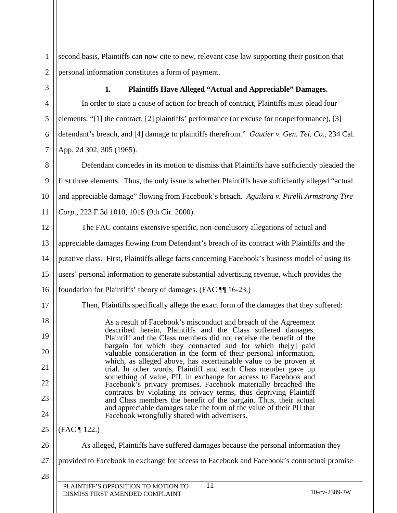2 second basis, Plaintiffs can now cite to new, relevant case law supporting their position that personal information constitutes a form of payment.

3

4

5

6

7

1

### **1. Plaintiffs Have Alleged "Actual and Appreciable" Damages.**

In order to state a cause of action for breach of contract, Plaintiffs must plead four elements: "[1] the contract, [2] plaintiffs' performance (or excuse for nonperformance), [3] defendant's breach, and [4] damage to plaintiffs therefrom." *Gautier v. Gen. Tel. Co*., 234 Cal. App. 2d 302, 305 (1965).

8 9 10 11 Defendant concedes in its motion to dismiss that Plaintiffs have sufficiently pleaded the first three elements. Thus, the only issue is whether Plaintiffs have sufficiently alleged "actual and appreciable damage" flowing from Facebook's breach. *Aguilera v. Pirelli Armstrong Tire Corp*., 223 F.3d 1010, 1015 (9th Cir. 2000).

12 13 14 15 16 17 The FAC contains extensive specific, non-conclusory allegations of actual and appreciable damages flowing from Defendant's breach of its contract with Plaintiffs and the putative class. First, Plaintiffs allege facts concerning Facebook's business model of using its users' personal information to generate substantial advertising revenue, which provides the foundation for Plaintiffs' theory of damages. (FAC ¶¶ 16-23.) Then, Plaintiffs specifically allege the exact form of the damages that they suffered:

> As a result of Facebook's misconduct and breach of the Agreement described herein, Plaintiffs and the Class suffered damages. Plaintiff and the Class members did not receive the benefit of the bargain for which they contracted and for which the[y] paid valuable consideration in the form of their personal information, which, as alleged above, has ascertainable value to be proven at trial. In other words, Plaintiff and each Class member gave up something of value, PII, in exchange for access to Facebook and Facebook's privacy promises. Facebook materially breached the contracts by violating its privacy terms, thus depriving Plaintiff and Class members the benefit of the bargain. Thus, their actual and appreciable damages take the form of the value of their PII that Facebook wrongfully shared with advertisers.

25 (FAC ¶ 122.)

As alleged, Plaintiffs have suffered damages because the personal information they

27 provided to Facebook in exchange for access to Facebook and Facebook's contractual promise

28

18

19

20

21

22

23

24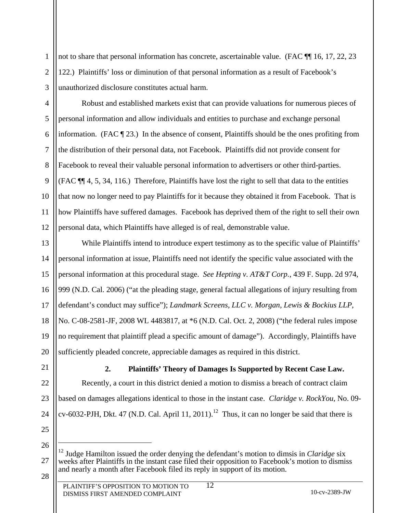not to share that personal information has concrete, ascertainable value. (FAC  $\P$  16, 17, 22, 23 122.) Plaintiffs' loss or diminution of that personal information as a result of Facebook's unauthorized disclosure constitutes actual harm.

4 5 6 7 8 9 10 11 12 Robust and established markets exist that can provide valuations for numerous pieces of personal information and allow individuals and entities to purchase and exchange personal information. (FAC ¶ 23.) In the absence of consent, Plaintiffs should be the ones profiting from the distribution of their personal data, not Facebook. Plaintiffs did not provide consent for Facebook to reveal their valuable personal information to advertisers or other third-parties. (FAC ¶¶ 4, 5, 34, 116.) Therefore, Plaintiffs have lost the right to sell that data to the entities that now no longer need to pay Plaintiffs for it because they obtained it from Facebook. That is how Plaintiffs have suffered damages. Facebook has deprived them of the right to sell their own personal data, which Plaintiffs have alleged is of real, demonstrable value.

13 14 15 16 17 18 19 20 While Plaintiffs intend to introduce expert testimony as to the specific value of Plaintiffs' personal information at issue, Plaintiffs need not identify the specific value associated with the personal information at this procedural stage. *See Hepting v. AT&T Corp.*, 439 F. Supp. 2d 974, 999 (N.D. Cal. 2006) ("at the pleading stage, general factual allegations of injury resulting from defendant's conduct may suffice"); *Landmark Screens, LLC v. Morgan, Lewis & Bockius LLP*, No. C-08-2581-JF, 2008 WL 4483817, at \*6 (N.D. Cal. Oct. 2, 2008) ("the federal rules impose no requirement that plaintiff plead a specific amount of damage"). Accordingly, Plaintiffs have sufficiently pleaded concrete, appreciable damages as required in this district.

21

1

2

3

# **2. Plaintiffs' Theory of Damages Is Supported by Recent Case Law.**

22 23 24 Recently, a court in this district denied a motion to dismiss a breach of contract claim based on damages allegations identical to those in the instant case. *Claridge v. RockYou*, No. 09 cv-6032-PJH, Dkt. 47 (N.D. Cal. April 11, 2011).<sup>12</sup> Thus, it can no longer be said that there is

25 26

<u>.</u>

<sup>27</sup> 28 <sup>12</sup> Judge Hamilton issued the order denying the defendant's motion to dimsis in *Claridge* six weeks after Plaintiffs in the instant case filed their opposition to Facebook's motion to dismiss and nearly a month after Facebook filed its reply in support of its motion.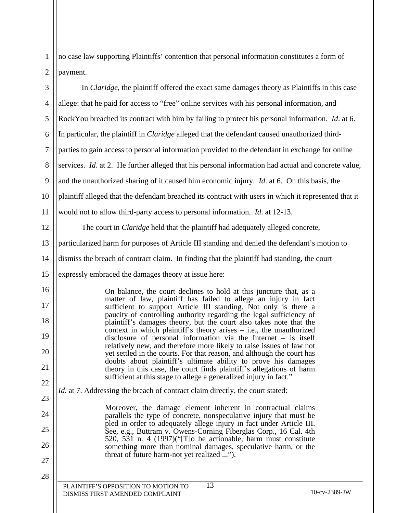$\begin{array}{c} 2 \end{array}$ no case law supporting Plaintiffs' contention that personal information constitutes a form of payment.

| 3  | In <i>Claridge</i> , the plaintiff offered the exact same damages theory as Plaintiffs in this case                                            |  |  |  |
|----|------------------------------------------------------------------------------------------------------------------------------------------------|--|--|--|
| 4  | allege: that he paid for access to "free" online services with his personal information, and                                                   |  |  |  |
| 5  | RockYou breached its contract with him by failing to protect his personal information. Id. at 6.                                               |  |  |  |
| 6  | In particular, the plaintiff in <i>Claridge</i> alleged that the defendant caused unauthorized third-                                          |  |  |  |
| 7  | parties to gain access to personal information provided to the defendant in exchange for online                                                |  |  |  |
| 8  | services. Id. at 2. He further alleged that his personal information had actual and concrete value,                                            |  |  |  |
| 9  | and the unauthorized sharing of it caused him economic injury. <i>Id.</i> at 6. On this basis, the                                             |  |  |  |
| 10 | plaintiff alleged that the defendant breached its contract with users in which it represented that it                                          |  |  |  |
| 11 | would not to allow third-party access to personal information. Id. at 12-13.                                                                   |  |  |  |
| 12 | The court in <i>Claridge</i> held that the plaintiff had adequately alleged concrete,                                                          |  |  |  |
| 13 | particularized harm for purposes of Article III standing and denied the defendant's motion to                                                  |  |  |  |
| 14 | dismiss the breach of contract claim. In finding that the plaintiff had standing, the court                                                    |  |  |  |
| 15 | expressly embraced the damages theory at issue here:                                                                                           |  |  |  |
| 16 | On balance, the court declines to hold at this juncture that, as a                                                                             |  |  |  |
| 17 | matter of law, plaintiff has failed to allege an injury in fact<br>sufficient to support Article III standing. Not only is there a             |  |  |  |
| 18 | paucity of controlling authority regarding the legal sufficiency of<br>plaintiff's damages theory, but the court also takes note that the      |  |  |  |
| 19 | context in which plaintiff's theory arises $-$ i.e., the unauthorized<br>disclosure of personal information via the Internet $-$ is itself     |  |  |  |
| 20 | relatively new, and therefore more likely to raise issues of law not<br>yet settled in the courts. For that reason, and although the court has |  |  |  |
| 21 | doubts about plaintiff's ultimate ability to prove his damages<br>theory in this case, the court finds plaintiff's allegations of harm         |  |  |  |
| 22 | sufficient at this stage to allege a generalized injury in fact."                                                                              |  |  |  |
| 23 | Id. at 7. Addressing the breach of contract claim directly, the court stated:                                                                  |  |  |  |
| 24 | Moreover, the damage element inherent in contractual claims<br>parallels the type of concrete, nonspeculative injury that must be              |  |  |  |
| 25 | pled in order to adequately allege injury in fact under Article III.<br>See, e.g., Buttram v. Owens-Corning Fiberglas Corp., 16 Cal. 4th       |  |  |  |
| 26 | 520, 531 n. 4 (1997)("[T]o be actionable, harm must constitute<br>something more than nominal damages, speculative harm, or the                |  |  |  |
| 27 | threat of future harm-not yet realized ").                                                                                                     |  |  |  |
| 28 |                                                                                                                                                |  |  |  |
|    | 13<br>PLAINTIFF'S OPPOSITION TO MOTION TO<br>$10$ -cv-2389-JW<br>DISMISS FIRST AMENDED COMPLAINT                                               |  |  |  |
|    |                                                                                                                                                |  |  |  |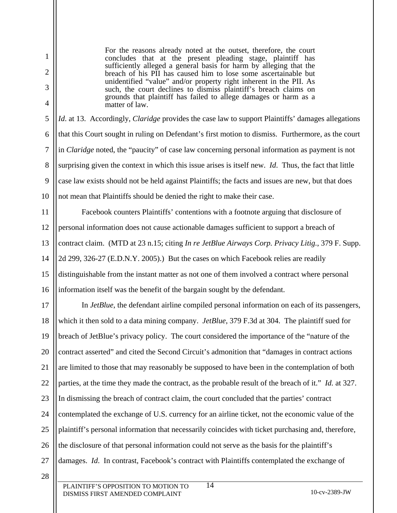1

For the reasons already noted at the outset, therefore, the court concludes that at the present pleading stage, plaintiff has sufficiently alleged a general basis for harm by alleging that the breach of his PII has caused him to lose some ascertainable but unidentified "value" and/or property right inherent in the PII. As such, the court declines to dismiss plaintiff's breach claims on grounds that plaintiff has failed to allege damages or harm as a matter of law.

*Id*. at 13. Accordingly, *Claridge* provides the case law to support Plaintiffs' damages allegations that this Court sought in ruling on Defendant's first motion to dismiss. Furthermore, as the court in *Claridge* noted, the "paucity" of case law concerning personal information as payment is not surprising given the context in which this issue arises is itself new. *Id*. Thus, the fact that little case law exists should not be held against Plaintiffs; the facts and issues are new, but that does not mean that Plaintiffs should be denied the right to make their case.

Facebook counters Plaintiffs' contentions with a footnote arguing that disclosure of personal information does not cause actionable damages sufficient to support a breach of contract claim. (MTD at 23 n.15; citing *In re JetBlue Airways Corp. Privacy Litig.*, 379 F. Supp. 2d 299, 326-27 (E.D.N.Y. 2005).) But the cases on which Facebook relies are readily distinguishable from the instant matter as not one of them involved a contract where personal information itself was the benefit of the bargain sought by the defendant.

18 19 20 26 27 In *JetBlue*, the defendant airline compiled personal information on each of its passengers, which it then sold to a data mining company. *JetBlue*, 379 F.3d at 304. The plaintiff sued for breach of JetBlue's privacy policy. The court considered the importance of the "nature of the contract asserted" and cited the Second Circuit's admonition that "damages in contract actions are limited to those that may reasonably be supposed to have been in the contemplation of both parties, at the time they made the contract, as the probable result of the breach of it." *Id.* at 327. In dismissing the breach of contract claim, the court concluded that the parties' contract contemplated the exchange of U.S. currency for an airline ticket, not the economic value of the plaintiff's personal information that necessarily coincides with ticket purchasing and, therefore, the disclosure of that personal information could not serve as the basis for the plaintiff's damages. *Id*. In contrast, Facebook's contract with Plaintiffs contemplated the exchange of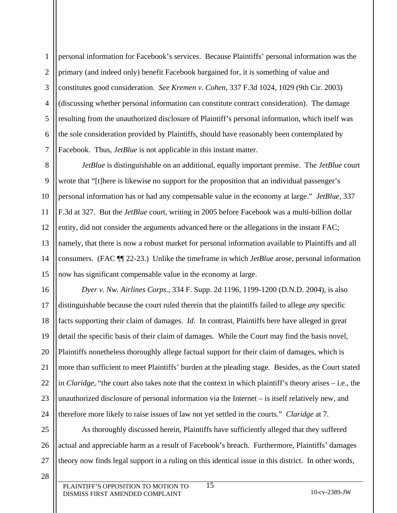1 2 3 4 5 6 7 personal information for Facebook's services. Because Plaintiffs' personal information was the primary (and indeed only) benefit Facebook bargained for, it is something of value and constitutes good consideration. *See Kremen v. Cohen*, 337 F.3d 1024, 1029 (9th Cir. 2003) (discussing whether personal information can constitute contract consideration). The damage resulting from the unauthorized disclosure of Plaintiff's personal information, which itself was the sole consideration provided by Plaintiffs, should have reasonably been contemplated by Facebook. Thus, *JetBlue* is not applicable in this instant matter.

8 9 10 11 12 13 14 15 *JetBlue* is distinguishable on an additional, equally important premise. The *JetBlue* court wrote that "[t]here is likewise no support for the proposition that an individual passenger's personal information has or had any compensable value in the economy at large." *JetBlue*, 337 F.3d at 327. But the *JetBlue* court, writing in 2005 before Facebook was a multi-billion dollar entity, did not consider the arguments advanced here or the allegations in the instant FAC; namely, that there is now a robust market for personal information available to Plaintiffs and all consumers. (FAC ¶¶ 22-23.) Unlike the timeframe in which *JetBlue* arose, personal information now has significant compensable value in the economy at large.

16 17 18 19 20 21 22 23 24 *Dyer v. Nw. Airlines Corps.*, 334 F. Supp. 2d 1196, 1199-1200 (D.N.D. 2004), is also distinguishable because the court ruled therein that the plaintiffs failed to allege *any* specific facts supporting their claim of damages. *Id*. In contrast, Plaintiffs here have alleged in great detail the specific basis of their claim of damages. While the Court may find the basis novel, Plaintiffs nonetheless thoroughly allege factual support for their claim of damages, which is more than sufficient to meet Plaintiffs' burden at the pleading stage. Besides, as the Court stated in *Claridge*, "the court also takes note that the context in which plaintiff's theory arises – i.e., the unauthorized disclosure of personal information via the Internet – is itself relatively new, and therefore more likely to raise issues of law not yet settled in the courts." *Claridge* at 7.

25 26 27 As thoroughly discussed herein, Plaintiffs have sufficiently alleged that they suffered actual and appreciable harm as a result of Facebook's breach. Furthermore, Plaintiffs' damages theory now finds legal support in a ruling on this identical issue in this district. In other words,

15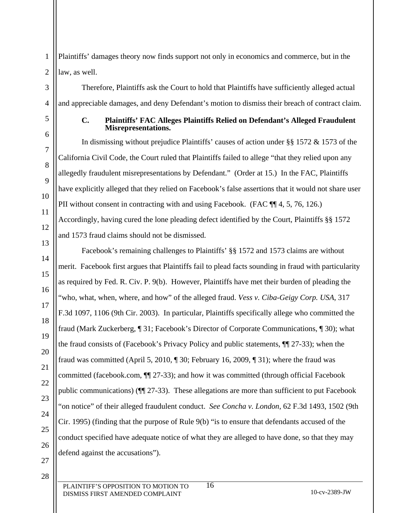Plaintiffs' damages theory now finds support not only in economics and commerce, but in the law, as well.

Therefore, Plaintiffs ask the Court to hold that Plaintiffs have sufficiently alleged actual and appreciable damages, and deny Defendant's motion to dismiss their breach of contract claim.

1

2

3

4

5

6

7

8

9

10

11

12

13

14

15

16

17

18

19

20

21

22

23

24

25

26

### **C. Plaintiffs' FAC Alleges Plaintiffs Relied on Defendant's Alleged Fraudulent Misrepresentations.**

In dismissing without prejudice Plaintiffs' causes of action under §§ 1572 & 1573 of the California Civil Code, the Court ruled that Plaintiffs failed to allege "that they relied upon any allegedly fraudulent misrepresentations by Defendant." (Order at 15.) In the FAC, Plaintiffs have explicitly alleged that they relied on Facebook's false assertions that it would not share user PII without consent in contracting with and using Facebook. (FAC  $\P$  4, 5, 76, 126.) Accordingly, having cured the lone pleading defect identified by the Court, Plaintiffs §§ 1572 and 1573 fraud claims should not be dismissed.

Facebook's remaining challenges to Plaintiffs' §§ 1572 and 1573 claims are without merit. Facebook first argues that Plaintiffs fail to plead facts sounding in fraud with particularity as required by Fed. R. Civ. P. 9(b). However, Plaintiffs have met their burden of pleading the "who, what, when, where, and how" of the alleged fraud. *Vess v. Ciba-Geigy Corp. USA*, 317 F.3d 1097, 1106 (9th Cir. 2003). In particular, Plaintiffs specifically allege who committed the fraud (Mark Zuckerberg, ¶ 31; Facebook's Director of Corporate Communications, ¶ 30); what the fraud consists of (Facebook's Privacy Policy and public statements, ¶¶ 27-33); when the fraud was committed (April 5, 2010, ¶ 30; February 16, 2009, ¶ 31); where the fraud was committed (facebook.com, ¶¶ 27-33); and how it was committed (through official Facebook public communications) ( $\P$  27-33). These allegations are more than sufficient to put Facebook "on notice" of their alleged fraudulent conduct. *See Concha v. London*, 62 F.3d 1493, 1502 (9th Cir. 1995) (finding that the purpose of Rule 9(b) "is to ensure that defendants accused of the conduct specified have adequate notice of what they are alleged to have done, so that they may defend against the accusations").

16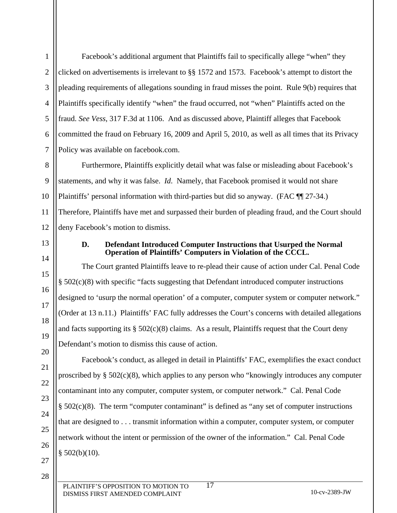Facebook's additional argument that Plaintiffs fail to specifically allege "when" they clicked on advertisements is irrelevant to §§ 1572 and 1573. Facebook's attempt to distort the pleading requirements of allegations sounding in fraud misses the point. Rule 9(b) requires that Plaintiffs specifically identify "when" the fraud occurred, not "when" Plaintiffs acted on the fraud. *See Vess*, 317 F.3d at 1106. And as discussed above, Plaintiff alleges that Facebook committed the fraud on February 16, 2009 and April 5, 2010, as well as all times that its Privacy Policy was available on facebook.com.

8 Furthermore, Plaintiffs explicitly detail what was false or misleading about Facebook's statements, and why it was false. *Id*. Namely, that Facebook promised it would not share Plaintiffs' personal information with third-parties but did so anyway. (FAC ¶¶ 27-34.) Therefore, Plaintiffs have met and surpassed their burden of pleading fraud, and the Court should deny Facebook's motion to dismiss.

1

2

3

4

5

6

### **D. Defendant Introduced Computer Instructions that Usurped the Normal Operation of Plaintiffs' Computers in Violation of the CCCL.**

The Court granted Plaintiffs leave to re-plead their cause of action under Cal. Penal Code § 502(c)(8) with specific "facts suggesting that Defendant introduced computer instructions designed to 'usurp the normal operation' of a computer, computer system or computer network." (Order at 13 n.11.) Plaintiffs' FAC fully addresses the Court's concerns with detailed allegations and facts supporting its  $\S 502(c)(8)$  claims. As a result, Plaintiffs request that the Court deny Defendant's motion to dismiss this cause of action.

Facebook's conduct, as alleged in detail in Plaintiffs' FAC, exemplifies the exact conduct proscribed by § 502(c)(8), which applies to any person who "knowingly introduces any computer contaminant into any computer, computer system, or computer network." Cal. Penal Code  $§$  502(c)(8). The term "computer contaminant" is defined as "any set of computer instructions" that are designed to . . . transmit information within a computer, computer system, or computer network without the intent or permission of the owner of the information." Cal. Penal Code  $§$  502(b)(10).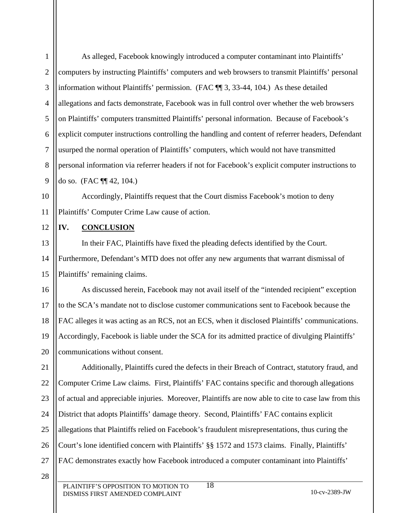1 2 3 4 5 6 7 8 9 10 11 As alleged, Facebook knowingly introduced a computer contaminant into Plaintiffs' computers by instructing Plaintiffs' computers and web browsers to transmit Plaintiffs' personal information without Plaintiffs' permission. (FAC ¶¶ 3, 33-44, 104.) As these detailed allegations and facts demonstrate, Facebook was in full control over whether the web browsers on Plaintiffs' computers transmitted Plaintiffs' personal information. Because of Facebook's explicit computer instructions controlling the handling and content of referrer headers, Defendant usurped the normal operation of Plaintiffs' computers, which would not have transmitted personal information via referrer headers if not for Facebook's explicit computer instructions to do so. (FAC  $\P$  42, 104.) Accordingly, Plaintiffs request that the Court dismiss Facebook's motion to deny Plaintiffs' Computer Crime Law cause of action.

**IV. CONCLUSION** 

12

13 14 15 In their FAC, Plaintiffs have fixed the pleading defects identified by the Court. Furthermore, Defendant's MTD does not offer any new arguments that warrant dismissal of Plaintiffs' remaining claims.

16 17 18 19 20 As discussed herein, Facebook may not avail itself of the "intended recipient" exception to the SCA's mandate not to disclose customer communications sent to Facebook because the FAC alleges it was acting as an RCS, not an ECS, when it disclosed Plaintiffs' communications. Accordingly, Facebook is liable under the SCA for its admitted practice of divulging Plaintiffs' communications without consent.

21 22 23 24 25 26 27 Additionally, Plaintiffs cured the defects in their Breach of Contract, statutory fraud, and Computer Crime Law claims. First, Plaintiffs' FAC contains specific and thorough allegations of actual and appreciable injuries. Moreover, Plaintiffs are now able to cite to case law from this District that adopts Plaintiffs' damage theory. Second, Plaintiffs' FAC contains explicit allegations that Plaintiffs relied on Facebook's fraudulent misrepresentations, thus curing the Court's lone identified concern with Plaintiffs' §§ 1572 and 1573 claims. Finally, Plaintiffs' FAC demonstrates exactly how Facebook introduced a computer contaminant into Plaintiffs'